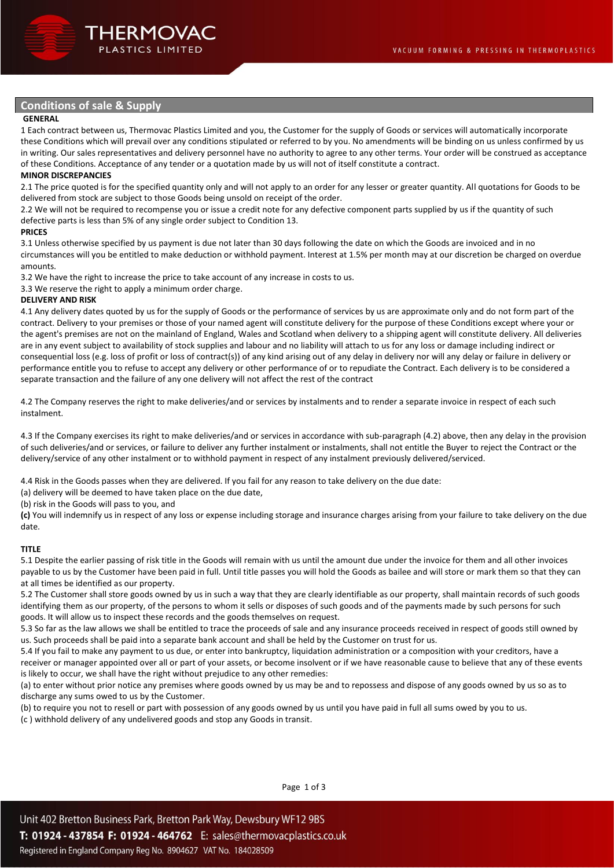# **Conditions of sale & Supply**

## **GENERAL**

1 Each contract between us, Thermovac Plastics Limited and you, the Customer for the supply of Goods or services will automatically incorporate these Conditions which will prevail over any conditions stipulated or referred to by you. No amendments will be binding on us unless confirmed by us in writing. Our sales representatives and delivery personnel have no authority to agree to any other terms. Your order will be construed as acceptance of these Conditions. Acceptance of any tender or a quotation made by us will not of itself constitute a contract.

## **MINOR DISCREPANCIES**

2.1 The price quoted is for the specified quantity only and will not apply to an order for any lesser or greater quantity. All quotations for Goods to be delivered from stock are subject to those Goods being unsold on receipt of the order.

2.2 We will not be required to recompense you or issue a credit note for any defective component parts supplied by us if the quantity of such defective parts is less than 5% of any single order subject to Condition 13.

#### **PRICES**

3.1 Unless otherwise specified by us payment is due not later than 30 days following the date on which the Goods are invoiced and in no circumstances will you be entitled to make deduction or withhold payment. Interest at 1.5% per month may at our discretion be charged on overdue amounts.

3.2 We have the right to increase the price to take account of any increase in costs to us.

3.3 We reserve the right to apply a minimum order charge.

#### **DELIVERY AND RISK**

4.1 Any delivery dates quoted by us for the supply of Goods or the performance of services by us are approximate only and do not form part of the contract. Delivery to your premises or those of your named agent will constitute delivery for the purpose of these Conditions except where your or the agent's premises are not on the mainland of England, Wales and Scotland when delivery to a shipping agent will constitute delivery. All deliveries are in any event subject to availability of stock supplies and labour and no liability will attach to us for any loss or damage including indirect or consequential loss (e.g. loss of profit or loss of contract(s)) of any kind arising out of any delay in delivery nor will any delay or failure in delivery or performance entitle you to refuse to accept any delivery or other performance of or to repudiate the Contract. Each delivery is to be considered a separate transaction and the failure of any one delivery will not affect the rest of the contract

4.2 The Company reserves the right to make deliveries/and or services by instalments and to render a separate invoice in respect of each such instalment.

4.3 If the Company exercises its right to make deliveries/and or services in accordance with sub-paragraph (4.2) above, then any delay in the provision of such deliveries/and or services, or failure to deliver any further instalment or instalments, shall not entitle the Buyer to reject the Contract or the delivery/service of any other instalment or to withhold payment in respect of any instalment previously delivered/serviced.

4.4 Risk in the Goods passes when they are delivered. If you fail for any reason to take delivery on the due date:

(a) delivery will be deemed to have taken place on the due date,

(b) risk in the Goods will pass to you, and

**(c)** You will indemnify us in respect of any loss or expense including storage and insurance charges arising from your failure to take delivery on the due date.

#### **TITLE**

5.1 Despite the earlier passing of risk title in the Goods will remain with us until the amount due under the invoice for them and all other invoices payable to us by the Customer have been paid in full. Until title passes you will hold the Goods as bailee and will store or mark them so that they can at all times be identified as our property.

5.2 The Customer shall store goods owned by us in such a way that they are clearly identifiable as our property, shall maintain records of such goods identifying them as our property, of the persons to whom it sells or disposes of such goods and of the payments made by such persons for such goods. It will allow us to inspect these records and the goods themselves on request.

5.3 So far as the law allows we shall be entitled to trace the proceeds of sale and any insurance proceeds received in respect of goods still owned by us. Such proceeds shall be paid into a separate bank account and shall be held by the Customer on trust for us.

5.4 If you fail to make any payment to us due, or enter into bankruptcy, liquidation administration or a composition with your creditors, have a receiver or manager appointed over all or part of your assets, or become insolvent or if we have reasonable cause to believe that any of these events is likely to occur, we shall have the right without prejudice to any other remedies:

(a) to enter without prior notice any premises where goods owned by us may be and to repossess and dispose of any goods owned by us so as to discharge any sums owed to us by the Customer.

(b) to require you not to resell or part with possession of any goods owned by us until you have paid in full all sums owed by you to us.

(c ) withhold delivery of any undelivered goods and stop any Goods in transit.

Page 1 of 3

Unit 402 Bretton Business Park, Bretton Park Way, Dewsbury WF12 9BS T: 01924 - 437854 F: 01924 - 464762 E: sales@thermovacplastics.co.uk Registered in England Company Reg No. 8904627 VAT No. 184028509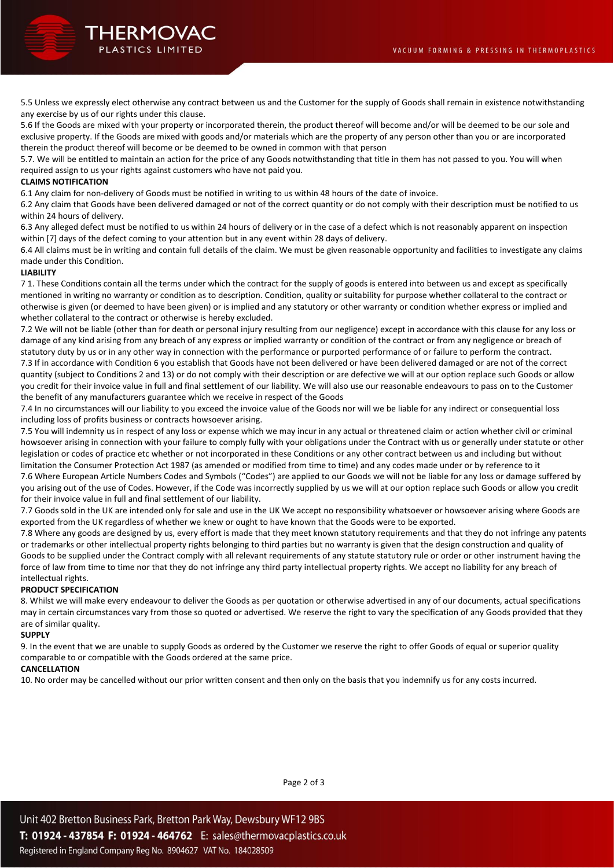

5.5 Unless we expressly elect otherwise any contract between us and the Customer for the supply of Goods shall remain in existence notwithstanding any exercise by us of our rights under this clause.

5.6 If the Goods are mixed with your property or incorporated therein, the product thereof will become and/or will be deemed to be our sole and exclusive property. If the Goods are mixed with goods and/or materials which are the property of any person other than you or are incorporated therein the product thereof will become or be deemed to be owned in common with that person

5.7. We will be entitled to maintain an action for the price of any Goods notwithstanding that title in them has not passed to you. You will when required assign to us your rights against customers who have not paid you.

### **CLAIMS NOTIFICATION**

6.1 Any claim for non-delivery of Goods must be notified in writing to us within 48 hours of the date of invoice.

6.2 Any claim that Goods have been delivered damaged or not of the correct quantity or do not comply with their description must be notified to us within 24 hours of delivery.

6.3 Any alleged defect must be notified to us within 24 hours of delivery or in the case of a defect which is not reasonably apparent on inspection within [7] days of the defect coming to your attention but in any event within 28 days of delivery.

6.4 All claims must be in writing and contain full details of the claim. We must be given reasonable opportunity and facilities to investigate any claims made under this Condition.

#### **LIABILITY**

7 1. These Conditions contain all the terms under which the contract for the supply of goods is entered into between us and except as specifically mentioned in writing no warranty or condition as to description. Condition, quality or suitability for purpose whether collateral to the contract or otherwise is given (or deemed to have been given) or is implied and any statutory or other warranty or condition whether express or implied and whether collateral to the contract or otherwise is hereby excluded.

7.2 We will not be liable (other than for death or personal injury resulting from our negligence) except in accordance with this clause for any loss or damage of any kind arising from any breach of any express or implied warranty or condition of the contract or from any negligence or breach of statutory duty by us or in any other way in connection with the performance or purported performance of or failure to perform the contract. 7.3 If in accordance with Condition 6 you establish that Goods have not been delivered or have been delivered damaged or are not of the correct quantity (subject to Conditions 2 and 13) or do not comply with their description or are defective we will at our option replace such Goods or allow you credit for their invoice value in full and final settlement of our liability. We will also use our reasonable endeavours to pass on to the Customer the benefit of any manufacturers guarantee which we receive in respect of the Goods

7.4 In no circumstances will our liability to you exceed the invoice value of the Goods nor will we be liable for any indirect or consequential loss including loss of profits business or contracts howsoever arising.

7.5 You will indemnity us in respect of any loss or expense which we may incur in any actual or threatened claim or action whether civil or criminal howsoever arising in connection with your failure to comply fully with your obligations under the Contract with us or generally under statute or other legislation or codes of practice etc whether or not incorporated in these Conditions or any other contract between us and including but without limitation the Consumer Protection Act 1987 (as amended or modified from time to time) and any codes made under or by reference to it

7.6 Where European Article Numbers Codes and Symbols ("Codes") are applied to our Goods we will not be liable for any loss or damage suffered by you arising out of the use of Codes. However, if the Code was incorrectly supplied by us we will at our option replace such Goods or allow you credit for their invoice value in full and final settlement of our liability.

7.7 Goods sold in the UK are intended only for sale and use in the UK We accept no responsibility whatsoever or howsoever arising where Goods are exported from the UK regardless of whether we knew or ought to have known that the Goods were to be exported.

7.8 Where any goods are designed by us, every effort is made that they meet known statutory requirements and that they do not infringe any patents or trademarks or other intellectual property rights belonging to third parties but no warranty is given that the design construction and quality of Goods to be supplied under the Contract comply with all relevant requirements of any statute statutory rule or order or other instrument having the force of law from time to time nor that they do not infringe any third party intellectual property rights. We accept no liability for any breach of intellectual rights.

#### **PRODUCT SPECIFICATION**

8. Whilst we will make every endeavour to deliver the Goods as per quotation or otherwise advertised in any of our documents, actual specifications may in certain circumstances vary from those so quoted or advertised. We reserve the right to vary the specification of any Goods provided that they are of similar quality.

#### **SUPPLY**

9. In the event that we are unable to supply Goods as ordered by the Customer we reserve the right to offer Goods of equal or superior quality comparable to or compatible with the Goods ordered at the same price.

# **CANCELLATION**

10. No order may be cancelled without our prior written consent and then only on the basis that you indemnify us for any costs incurred.

Page 2 of 3

Unit 402 Bretton Business Park, Bretton Park Way, Dewsbury WF12 9BS T: 01924 - 437854 F: 01924 - 464762 E: sales@thermovacplastics.co.uk Registered in England Company Reg No. 8904627 VAT No. 184028509